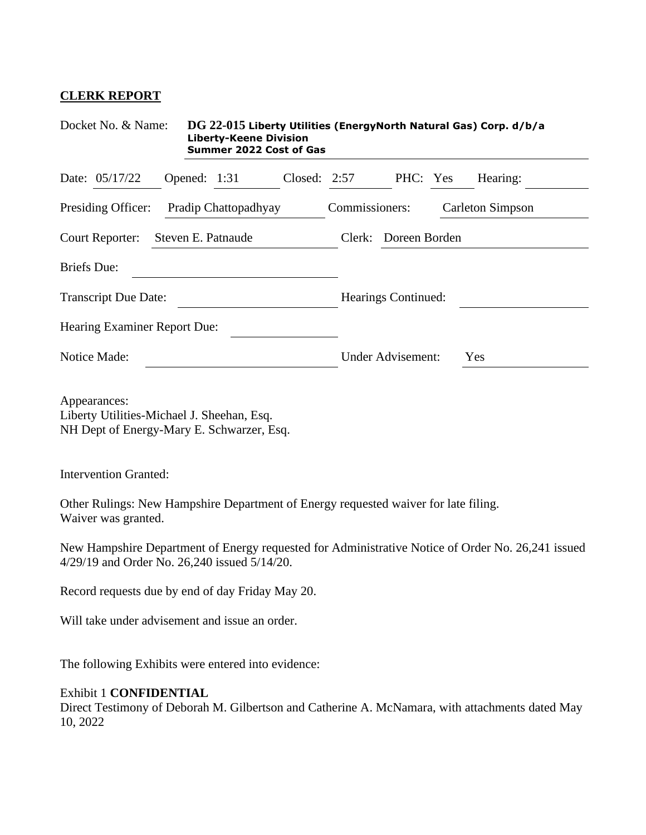## **CLERK REPORT**

| Docket No. & Name:                                                                                         | DG 22-015 Liberty Utilities (EnergyNorth Natural Gas) Corp. d/b/a<br><b>Liberty-Keene Division</b><br><b>Summer 2022 Cost of Gas</b> |                |                     |                          |  |                                                                                                   |  |
|------------------------------------------------------------------------------------------------------------|--------------------------------------------------------------------------------------------------------------------------------------|----------------|---------------------|--------------------------|--|---------------------------------------------------------------------------------------------------|--|
| Date: 05/17/22                                                                                             | Opened: $1:31$                                                                                                                       | Closed: $2:57$ |                     | PHC: Yes                 |  | Hearing:                                                                                          |  |
| Presiding Officer:                                                                                         | Pradip Chattopadhyay                                                                                                                 |                | Commissioners:      |                          |  | <b>Carleton Simpson</b>                                                                           |  |
| Court Reporter:                                                                                            | Steven E. Patnaude                                                                                                                   |                |                     | Doreen Borden<br>Clerk:  |  |                                                                                                   |  |
| <b>Briefs</b> Due:                                                                                         |                                                                                                                                      |                |                     |                          |  |                                                                                                   |  |
| <b>Transcript Due Date:</b>                                                                                |                                                                                                                                      |                | Hearings Continued: |                          |  |                                                                                                   |  |
| Hearing Examiner Report Due:                                                                               |                                                                                                                                      |                |                     |                          |  |                                                                                                   |  |
| Notice Made:                                                                                               |                                                                                                                                      |                |                     | <b>Under Advisement:</b> |  | Yes                                                                                               |  |
| Appearances:<br>Liberty Utilities-Michael J. Sheehan, Esq.<br>NH Dept of Energy-Mary E. Schwarzer, Esq.    |                                                                                                                                      |                |                     |                          |  |                                                                                                   |  |
| <b>Intervention Granted:</b>                                                                               |                                                                                                                                      |                |                     |                          |  |                                                                                                   |  |
| Other Rulings: New Hampshire Department of Energy requested waiver for late filing.<br>Waiver was granted. |                                                                                                                                      |                |                     |                          |  |                                                                                                   |  |
| 4/29/19 and Order No. 26,240 issued 5/14/20.                                                               |                                                                                                                                      |                |                     |                          |  | New Hampshire Department of Energy requested for Administrative Notice of Order No. 26,241 issued |  |
| Record requests due by end of day Friday May 20.                                                           |                                                                                                                                      |                |                     |                          |  |                                                                                                   |  |
| Will take under advisement and issue an order.                                                             |                                                                                                                                      |                |                     |                          |  |                                                                                                   |  |
| The following Exhibits were entered into evidence:                                                         |                                                                                                                                      |                |                     |                          |  |                                                                                                   |  |

## Exhibit 1 **CONFIDENTIAL**

Direct Testimony of Deborah M. Gilbertson and Catherine A. McNamara, with attachments dated May 10, 2022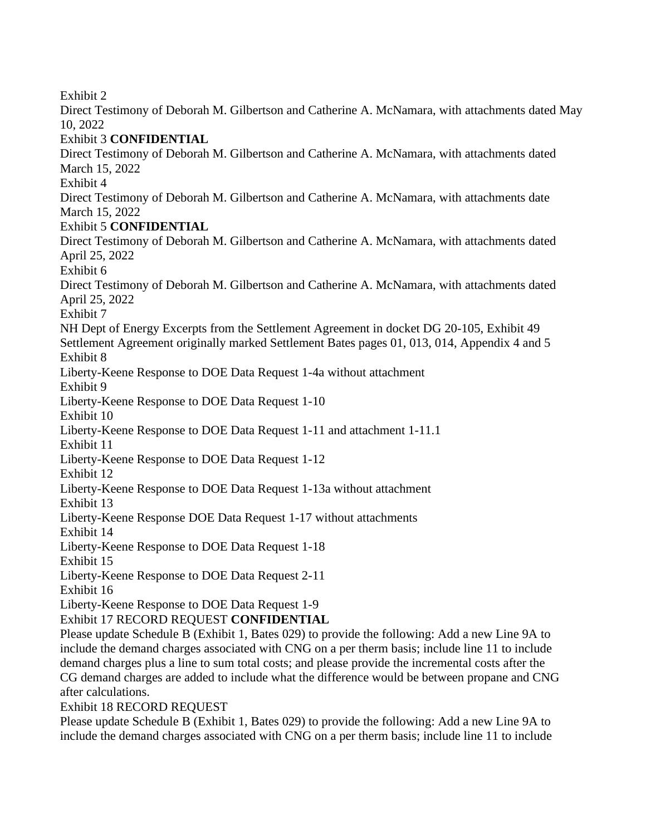Exhibit 2

Direct Testimony of Deborah M. Gilbertson and Catherine A. McNamara, with attachments dated May 10, 2022 Exhibit 3 **CONFIDENTIAL** Direct Testimony of Deborah M. Gilbertson and Catherine A. McNamara, with attachments dated March 15, 2022 Exhibit 4 Direct Testimony of Deborah M. Gilbertson and Catherine A. McNamara, with attachments date March 15, 2022 Exhibit 5 **CONFIDENTIAL** Direct Testimony of Deborah M. Gilbertson and Catherine A. McNamara, with attachments dated April 25, 2022 Exhibit 6 Direct Testimony of Deborah M. Gilbertson and Catherine A. McNamara, with attachments dated April 25, 2022 Exhibit 7 NH Dept of Energy Excerpts from the Settlement Agreement in docket DG 20-105, Exhibit 49 Settlement Agreement originally marked Settlement Bates pages 01, 013, 014, Appendix 4 and 5 Exhibit 8 Liberty-Keene Response to DOE Data Request 1-4a without attachment Exhibit 9 Liberty-Keene Response to DOE Data Request 1-10 Exhibit 10 Liberty-Keene Response to DOE Data Request 1-11 and attachment 1-11.1 Exhibit 11 Liberty-Keene Response to DOE Data Request 1-12 Exhibit 12 Liberty-Keene Response to DOE Data Request 1-13a without attachment Exhibit 13 Liberty-Keene Response DOE Data Request 1-17 without attachments Exhibit 14 Liberty-Keene Response to DOE Data Request 1-18 Exhibit 15 Liberty-Keene Response to DOE Data Request 2-11 Exhibit 16 Liberty-Keene Response to DOE Data Request 1-9 Exhibit 17 RECORD REQUEST **CONFIDENTIAL** Please update Schedule B (Exhibit 1, Bates 029) to provide the following: Add a new Line 9A to include the demand charges associated with CNG on a per therm basis; include line 11 to include demand charges plus a line to sum total costs; and please provide the incremental costs after the CG demand charges are added to include what the difference would be between propane and CNG after calculations.

Exhibit 18 RECORD REQUEST

Please update Schedule B (Exhibit 1, Bates 029) to provide the following: Add a new Line 9A to include the demand charges associated with CNG on a per therm basis; include line 11 to include